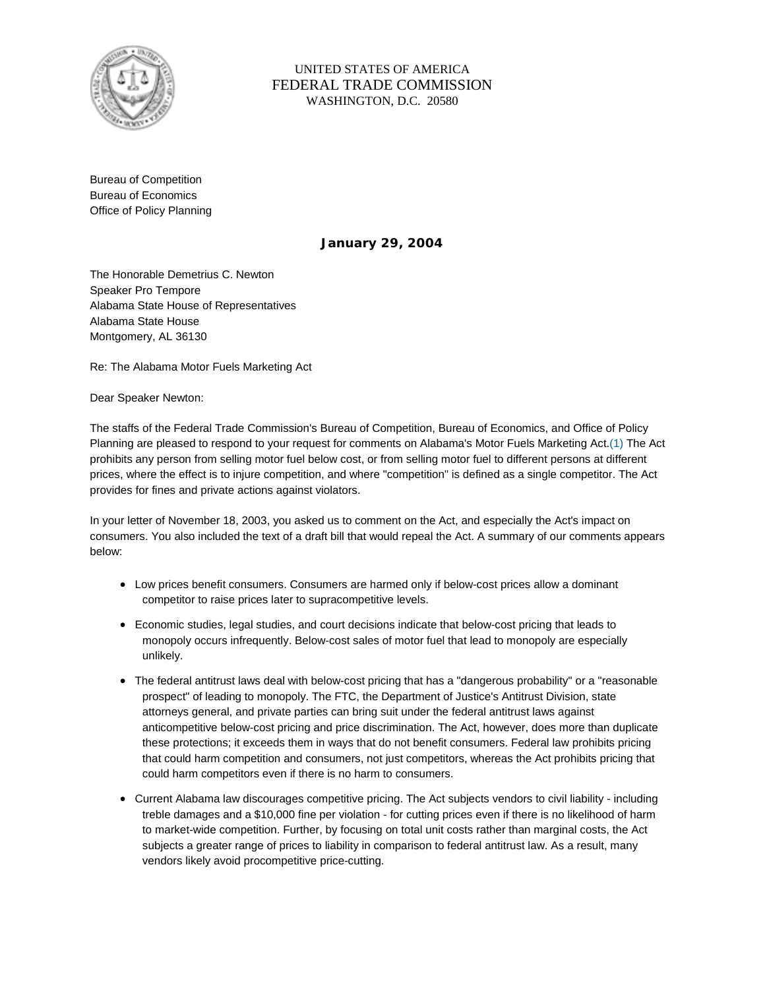

UNITED STATES OF AMERICA FEDERAL TRADE COMMISSION WASHINGTON, D.C. 20580

Bureau of Competition Bureau of Economics Office of Policy Planning

**January 29, 2004**

The Honorable Demetrius C. Newton Speaker Pro Tempore Alabama State House of Representatives Alabama State House Montgomery, AL 36130

Re: The Alabama Motor Fuels Marketing Act

Dear Speaker Newton:

The staffs of the Federal Trade Commission's Bureau of Competition, Bureau of Economics, and Office of Policy Planning are pleased to respond to your request for comments on Alabama's Motor Fuels Marketing Act.(1) The Act prohibits any person from selling motor fuel below cost, or from selling motor fuel to different persons at different prices, where the effect is to injure competition, and where "competition" is defined as a single competitor. The Act provides for fines and private actions against violators.

In your letter of November 18, 2003, you asked us to comment on the Act, and especially the Act's impact on consumers. You also included the text of a draft bill that would repeal the Act. A summary of our comments appears below:

- Low prices benefit consumers. Consumers are harmed only if below-cost prices allow a dominant competitor to raise prices later to supracompetitive levels.
- Economic studies, legal studies, and court decisions indicate that below-cost pricing that leads to monopoly occurs infrequently. Below-cost sales of motor fuel that lead to monopoly are especially unlikely.
- The federal antitrust laws deal with below-cost pricing that has a "dangerous probability" or a "reasonable prospect" of leading to monopoly. The FTC, the Department of Justice's Antitrust Division, state attorneys general, and private parties can bring suit under the federal antitrust laws against anticompetitive below-cost pricing and price discrimination. The Act, however, does more than duplicate these protections; it exceeds them in ways that do not benefit consumers. Federal law prohibits pricing that could harm competition and consumers, not just competitors, whereas the Act prohibits pricing that could harm competitors even if there is no harm to consumers.
- Current Alabama law discourages competitive pricing. The Act subjects vendors to civil liability including treble damages and a \$10,000 fine per violation - for cutting prices even if there is no likelihood of harm to market-wide competition. Further, by focusing on total unit costs rather than marginal costs, the Act subjects a greater range of prices to liability in comparison to federal antitrust law. As a result, many vendors likely avoid procompetitive price-cutting.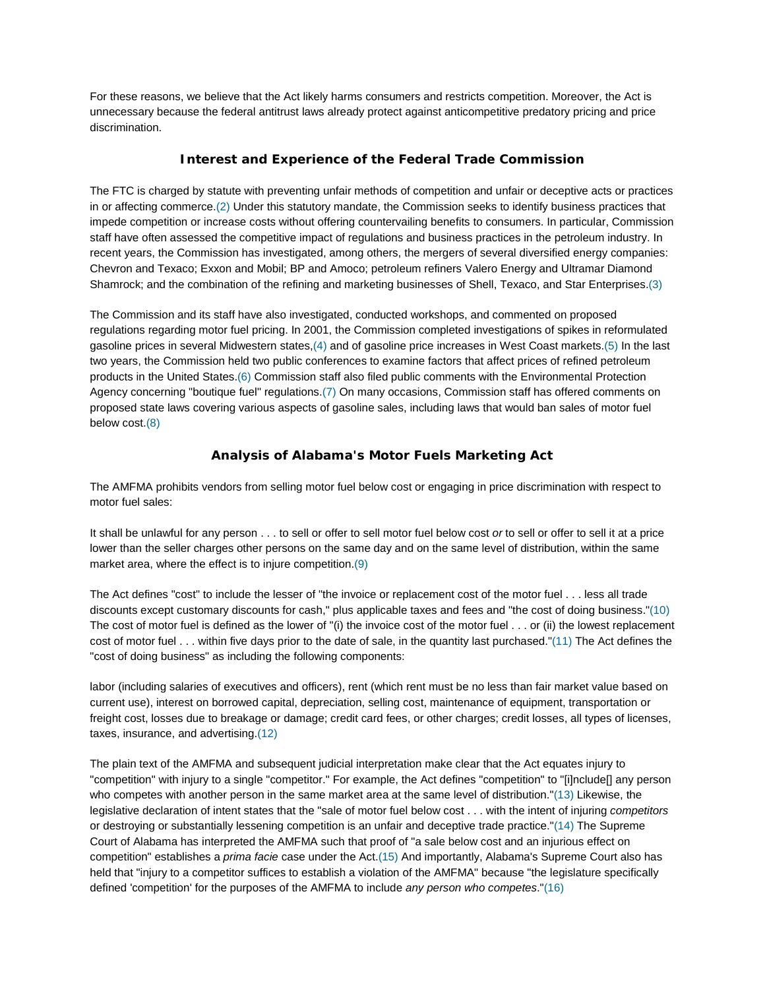For these reasons, we believe that the Act likely harms consumers and restricts competition. Moreover, the Act is unnecessary because the federal antitrust laws already protect against anticompetitive predatory pricing and price discrimination.

### **Interest and Experience of the Federal Trade Commission**

The FTC is charged by statute with preventing unfair methods of competition and unfair or deceptive acts or practices in or affecting commerce.(2) Under this statutory mandate, the Commission seeks to identify business practices that impede competition or increase costs without offering countervailing benefits to consumers. In particular, Commission staff have often assessed the competitive impact of regulations and business practices in the petroleum industry. In recent years, the Commission has investigated, among others, the mergers of several diversified energy companies: Chevron and Texaco; Exxon and Mobil; BP and Amoco; petroleum refiners Valero Energy and Ultramar Diamond Shamrock; and the combination of the refining and marketing businesses of Shell, Texaco, and Star Enterprises.(3)

The Commission and its staff have also investigated, conducted workshops, and commented on proposed regulations regarding motor fuel pricing. In 2001, the Commission completed investigations of spikes in reformulated gasoline prices in several Midwestern states,(4) and of gasoline price increases in West Coast markets.(5) In the last two years, the Commission held two public conferences to examine factors that affect prices of refined petroleum products in the United States.(6) Commission staff also filed public comments with the Environmental Protection Agency concerning "boutique fuel" regulations.(7) On many occasions, Commission staff has offered comments on proposed state laws covering various aspects of gasoline sales, including laws that would ban sales of motor fuel below cost.(8)

## **Analysis of Alabama's Motor Fuels Marketing Act**

The AMFMA prohibits vendors from selling motor fuel below cost or engaging in price discrimination with respect to motor fuel sales:

It shall be unlawful for any person . . . to sell or offer to sell motor fuel below cost *or* to sell or offer to sell it at a price lower than the seller charges other persons on the same day and on the same level of distribution, within the same market area, where the effect is to injure competition.(9)

The Act defines "cost" to include the lesser of "the invoice or replacement cost of the motor fuel . . . less all trade discounts except customary discounts for cash," plus applicable taxes and fees and "the cost of doing business."(10) The cost of motor fuel is defined as the lower of "(i) the invoice cost of the motor fuel . . . or (ii) the lowest replacement cost of motor fuel . . . within five days prior to the date of sale, in the quantity last purchased."(11) The Act defines the "cost of doing business" as including the following components:

labor (including salaries of executives and officers), rent (which rent must be no less than fair market value based on current use), interest on borrowed capital, depreciation, selling cost, maintenance of equipment, transportation or freight cost, losses due to breakage or damage; credit card fees, or other charges; credit losses, all types of licenses, taxes, insurance, and advertising.(12)

The plain text of the AMFMA and subsequent judicial interpretation make clear that the Act equates injury to "competition" with injury to a single "competitor." For example, the Act defines "competition" to "[i]nclude[] any person who competes with another person in the same market area at the same level of distribution."(13) Likewise, the legislative declaration of intent states that the "sale of motor fuel below cost . . . with the intent of injuring *competitors* or destroying or substantially lessening competition is an unfair and deceptive trade practice."(14) The Supreme Court of Alabama has interpreted the AMFMA such that proof of "a sale below cost and an injurious effect on competition" establishes a *prima facie* case under the Act.(15) And importantly, Alabama's Supreme Court also has held that "injury to a competitor suffices to establish a violation of the AMFMA" because "the legislature specifically defined 'competition' for the purposes of the AMFMA to include *any person who competes*."(16)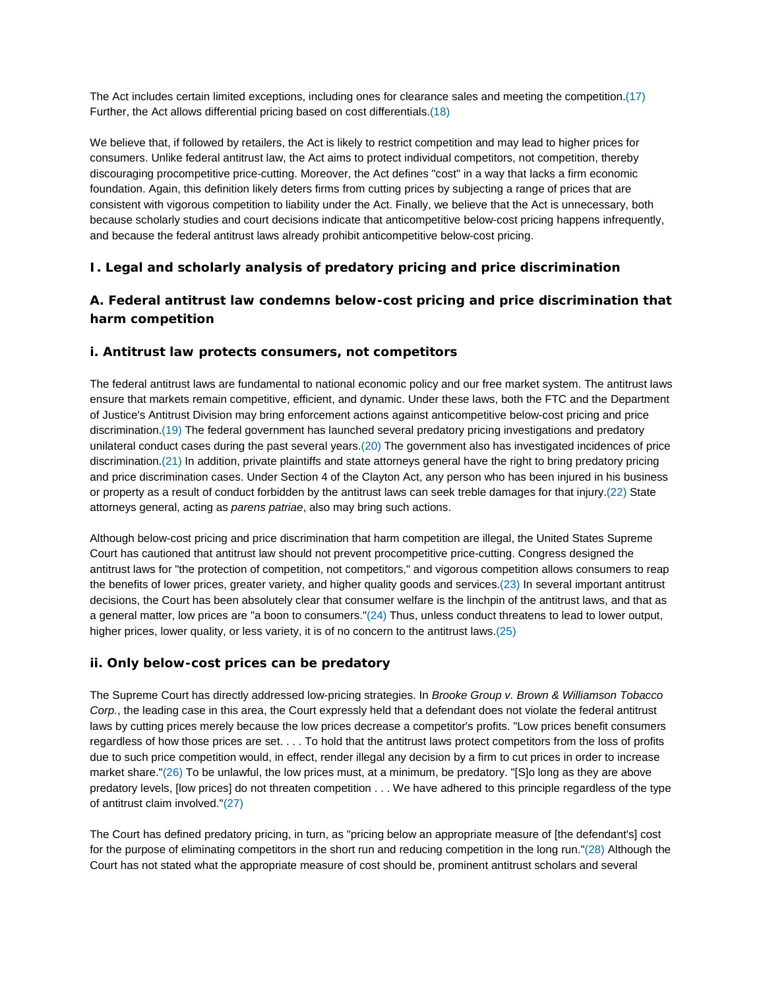The Act includes certain limited exceptions, including ones for clearance sales and meeting the competition.(17) Further, the Act allows differential pricing based on cost differentials.(18)

We believe that, if followed by retailers, the Act is likely to restrict competition and may lead to higher prices for consumers. Unlike federal antitrust law, the Act aims to protect individual competitors, not competition, thereby discouraging procompetitive price-cutting. Moreover, the Act defines "cost" in a way that lacks a firm economic foundation. Again, this definition likely deters firms from cutting prices by subjecting a range of prices that are consistent with vigorous competition to liability under the Act. Finally, we believe that the Act is unnecessary, both because scholarly studies and court decisions indicate that anticompetitive below-cost pricing happens infrequently, and because the federal antitrust laws already prohibit anticompetitive below-cost pricing.

## **I. Legal and scholarly analysis of predatory pricing and price discrimination**

## **A. Federal antitrust law condemns below-cost pricing and price discrimination that harm competition**

#### **i. Antitrust law protects consumers, not competitors**

The federal antitrust laws are fundamental to national economic policy and our free market system. The antitrust laws ensure that markets remain competitive, efficient, and dynamic. Under these laws, both the FTC and the Department of Justice's Antitrust Division may bring enforcement actions against anticompetitive below-cost pricing and price discrimination.(19) The federal government has launched several predatory pricing investigations and predatory unilateral conduct cases during the past several years.(20) The government also has investigated incidences of price discrimination.(21) In addition, private plaintiffs and state attorneys general have the right to bring predatory pricing and price discrimination cases. Under Section 4 of the Clayton Act, any person who has been injured in his business or property as a result of conduct forbidden by the antitrust laws can seek treble damages for that injury.(22) State attorneys general, acting as *parens patriae*, also may bring such actions.

Although below-cost pricing and price discrimination that harm competition are illegal, the United States Supreme Court has cautioned that antitrust law should not prevent procompetitive price-cutting. Congress designed the antitrust laws for "the protection of competition, not competitors," and vigorous competition allows consumers to reap the benefits of lower prices, greater variety, and higher quality goods and services.(23) In several important antitrust decisions, the Court has been absolutely clear that consumer welfare is the linchpin of the antitrust laws, and that as a general matter, low prices are "a boon to consumers."(24) Thus, unless conduct threatens to lead to lower output, higher prices, lower quality, or less variety, it is of no concern to the antitrust laws.(25)

#### **ii. Only below-cost prices can be predatory**

The Supreme Court has directly addressed low-pricing strategies. In *Brooke Group v. Brown & Williamson Tobacco Corp.*, the leading case in this area, the Court expressly held that a defendant does not violate the federal antitrust laws by cutting prices merely because the low prices decrease a competitor's profits. "Low prices benefit consumers regardless of how those prices are set. . . . To hold that the antitrust laws protect competitors from the loss of profits due to such price competition would, in effect, render illegal any decision by a firm to cut prices in order to increase market share."(26) To be unlawful, the low prices must, at a minimum, be predatory. "[S]o long as they are above predatory levels, [low prices] do not threaten competition . . . We have adhered to this principle regardless of the type of antitrust claim involved."(27)

The Court has defined predatory pricing, in turn, as "pricing below an appropriate measure of [the defendant's] cost for the purpose of eliminating competitors in the short run and reducing competition in the long run."(28) Although the Court has not stated what the appropriate measure of cost should be, prominent antitrust scholars and several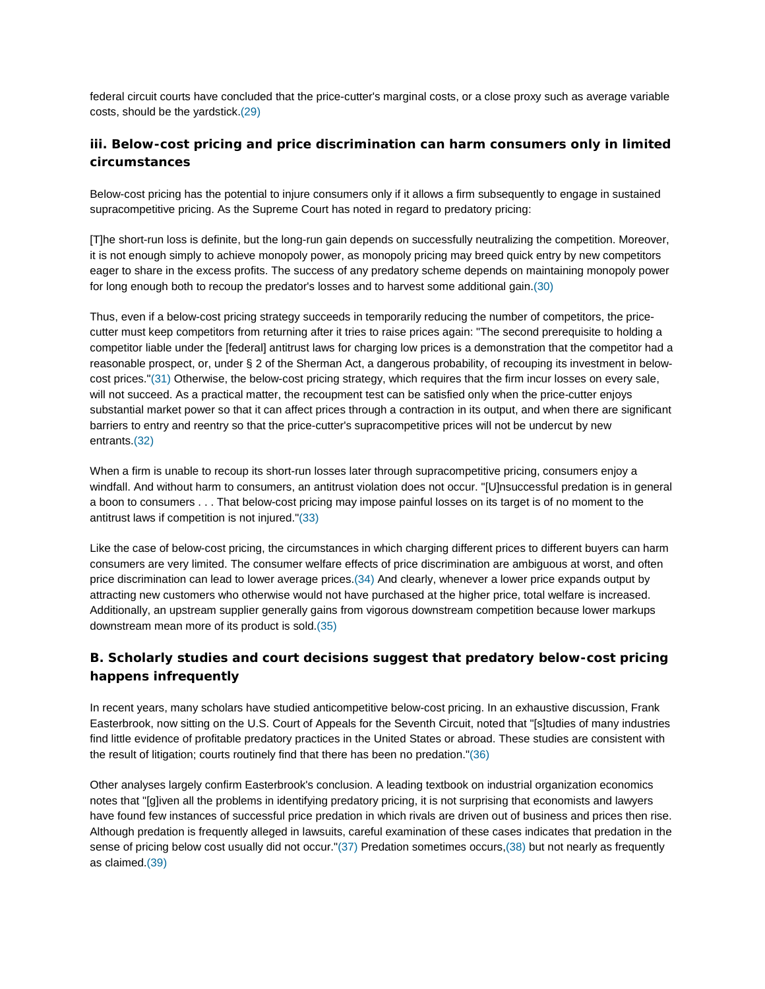federal circuit courts have concluded that the price-cutter's marginal costs, or a close proxy such as average variable costs, should be the yardstick.(29)

## **iii. Below-cost pricing and price discrimination can harm consumers only in limited circumstances**

Below-cost pricing has the potential to injure consumers only if it allows a firm subsequently to engage in sustained supracompetitive pricing. As the Supreme Court has noted in regard to predatory pricing:

[T]he short-run loss is definite, but the long-run gain depends on successfully neutralizing the competition. Moreover, it is not enough simply to achieve monopoly power, as monopoly pricing may breed quick entry by new competitors eager to share in the excess profits. The success of any predatory scheme depends on maintaining monopoly power for long enough both to recoup the predator's losses and to harvest some additional gain.(30)

Thus, even if a below-cost pricing strategy succeeds in temporarily reducing the number of competitors, the pricecutter must keep competitors from returning after it tries to raise prices again: "The second prerequisite to holding a competitor liable under the [federal] antitrust laws for charging low prices is a demonstration that the competitor had a reasonable prospect, or, under § 2 of the Sherman Act, a dangerous probability, of recouping its investment in belowcost prices."(31) Otherwise, the below-cost pricing strategy, which requires that the firm incur losses on every sale, will not succeed. As a practical matter, the recoupment test can be satisfied only when the price-cutter enjoys substantial market power so that it can affect prices through a contraction in its output, and when there are significant barriers to entry and reentry so that the price-cutter's supracompetitive prices will not be undercut by new entrants.(32)

When a firm is unable to recoup its short-run losses later through supracompetitive pricing, consumers enjoy a windfall. And without harm to consumers, an antitrust violation does not occur. "[U]nsuccessful predation is in general a boon to consumers . . . That below-cost pricing may impose painful losses on its target is of no moment to the antitrust laws if competition is not injured."(33)

Like the case of below-cost pricing, the circumstances in which charging different prices to different buyers can harm consumers are very limited. The consumer welfare effects of price discrimination are ambiguous at worst, and often price discrimination can lead to lower average prices.(34) And clearly, whenever a lower price expands output by attracting new customers who otherwise would not have purchased at the higher price, total welfare is increased. Additionally, an upstream supplier generally gains from vigorous downstream competition because lower markups downstream mean more of its product is sold.(35)

# **B. Scholarly studies and court decisions suggest that predatory below-cost pricing happens infrequently**

In recent years, many scholars have studied anticompetitive below-cost pricing. In an exhaustive discussion, Frank Easterbrook, now sitting on the U.S. Court of Appeals for the Seventh Circuit, noted that "[s]tudies of many industries find little evidence of profitable predatory practices in the United States or abroad. These studies are consistent with the result of litigation; courts routinely find that there has been no predation."(36)

Other analyses largely confirm Easterbrook's conclusion. A leading textbook on industrial organization economics notes that "[g]iven all the problems in identifying predatory pricing, it is not surprising that economists and lawyers have found few instances of successful price predation in which rivals are driven out of business and prices then rise. Although predation is frequently alleged in lawsuits, careful examination of these cases indicates that predation in the sense of pricing below cost usually did not occur."(37) Predation sometimes occurs,(38) but not nearly as frequently as claimed.(39)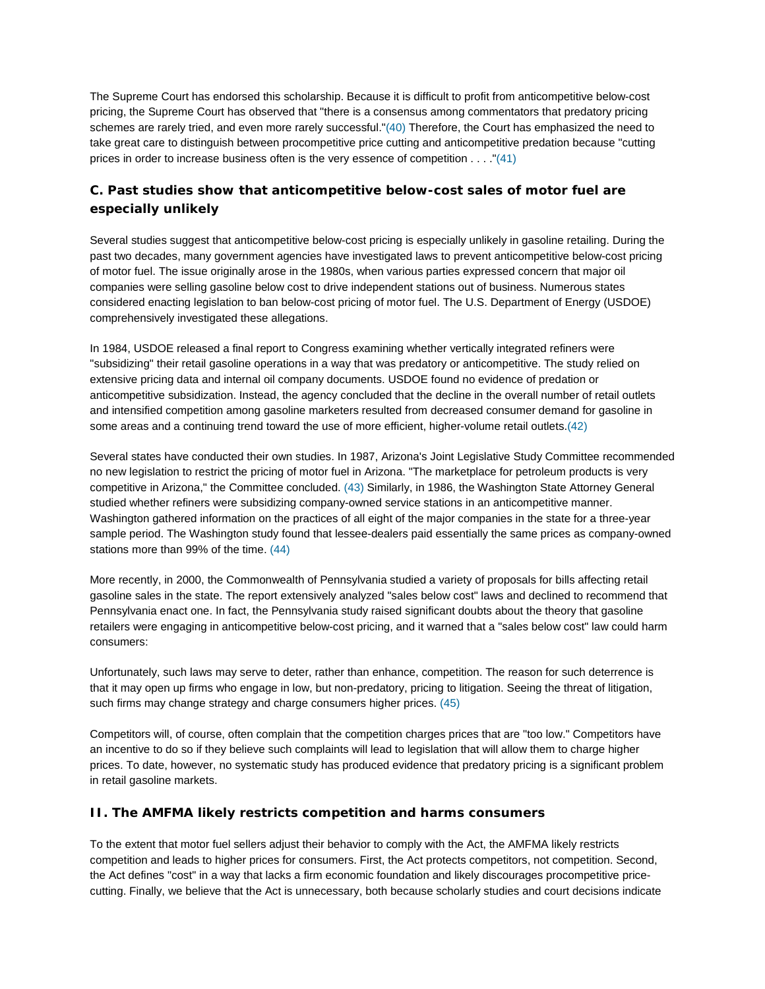The Supreme Court has endorsed this scholarship. Because it is difficult to profit from anticompetitive below-cost pricing, the Supreme Court has observed that "there is a consensus among commentators that predatory pricing schemes are rarely tried, and even more rarely successful."(40) Therefore, the Court has emphasized the need to take great care to distinguish between procompetitive price cutting and anticompetitive predation because "cutting prices in order to increase business often is the very essence of competition . . . ."(41)

# **C. Past studies show that anticompetitive below-cost sales of motor fuel are especially unlikely**

Several studies suggest that anticompetitive below-cost pricing is especially unlikely in gasoline retailing. During the past two decades, many government agencies have investigated laws to prevent anticompetitive below-cost pricing of motor fuel. The issue originally arose in the 1980s, when various parties expressed concern that major oil companies were selling gasoline below cost to drive independent stations out of business. Numerous states considered enacting legislation to ban below-cost pricing of motor fuel. The U.S. Department of Energy (USDOE) comprehensively investigated these allegations.

In 1984, USDOE released a final report to Congress examining whether vertically integrated refiners were "subsidizing" their retail gasoline operations in a way that was predatory or anticompetitive. The study relied on extensive pricing data and internal oil company documents. USDOE found no evidence of predation or anticompetitive subsidization. Instead, the agency concluded that the decline in the overall number of retail outlets and intensified competition among gasoline marketers resulted from decreased consumer demand for gasoline in some areas and a continuing trend toward the use of more efficient, higher-volume retail outlets.(42)

Several states have conducted their own studies. In 1987, Arizona's Joint Legislative Study Committee recommended no new legislation to restrict the pricing of motor fuel in Arizona. "The marketplace for petroleum products is very competitive in Arizona," the Committee concluded. (43) Similarly, in 1986, the Washington State Attorney General studied whether refiners were subsidizing company-owned service stations in an anticompetitive manner. Washington gathered information on the practices of all eight of the major companies in the state for a three-year sample period. The Washington study found that lessee-dealers paid essentially the same prices as company-owned stations more than 99% of the time. (44)

More recently, in 2000, the Commonwealth of Pennsylvania studied a variety of proposals for bills affecting retail gasoline sales in the state. The report extensively analyzed "sales below cost" laws and declined to recommend that Pennsylvania enact one. In fact, the Pennsylvania study raised significant doubts about the theory that gasoline retailers were engaging in anticompetitive below-cost pricing, and it warned that a "sales below cost" law could harm consumers:

Unfortunately, such laws may serve to deter, rather than enhance, competition. The reason for such deterrence is that it may open up firms who engage in low, but non-predatory, pricing to litigation. Seeing the threat of litigation, such firms may change strategy and charge consumers higher prices. (45)

Competitors will, of course, often complain that the competition charges prices that are "too low." Competitors have an incentive to do so if they believe such complaints will lead to legislation that will allow them to charge higher prices. To date, however, no systematic study has produced evidence that predatory pricing is a significant problem in retail gasoline markets.

## **II. The AMFMA likely restricts competition and harms consumers**

To the extent that motor fuel sellers adjust their behavior to comply with the Act, the AMFMA likely restricts competition and leads to higher prices for consumers. First, the Act protects competitors, not competition. Second, the Act defines "cost" in a way that lacks a firm economic foundation and likely discourages procompetitive pricecutting. Finally, we believe that the Act is unnecessary, both because scholarly studies and court decisions indicate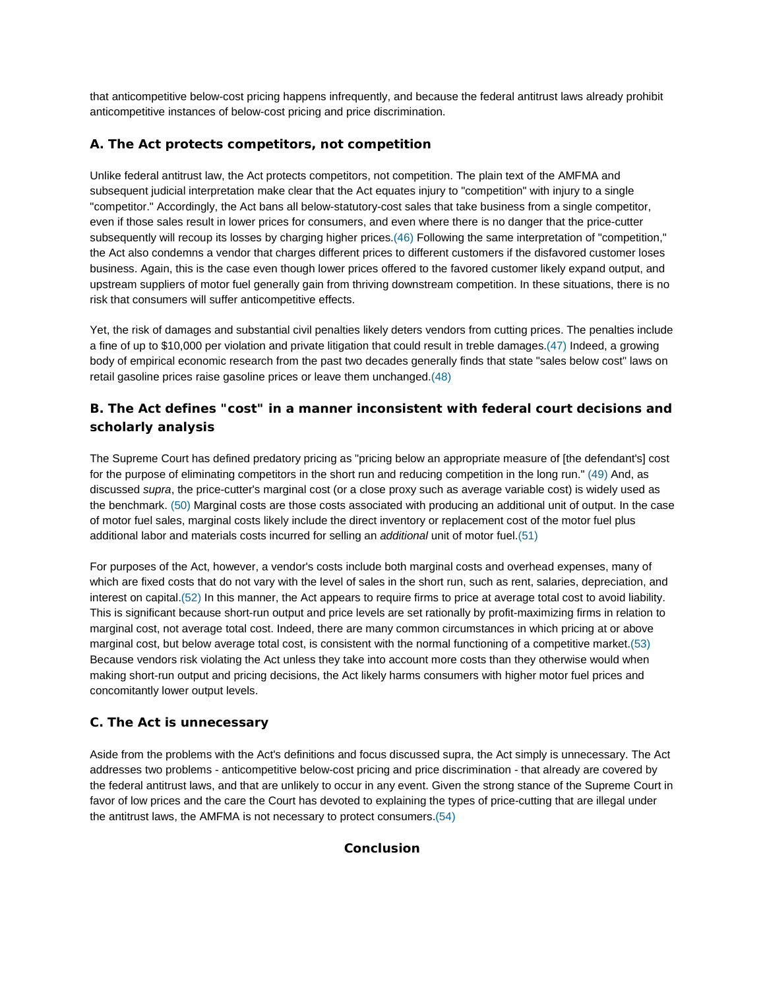that anticompetitive below-cost pricing happens infrequently, and because the federal antitrust laws already prohibit anticompetitive instances of below-cost pricing and price discrimination.

## **A. The Act protects competitors, not competition**

Unlike federal antitrust law, the Act protects competitors, not competition. The plain text of the AMFMA and subsequent judicial interpretation make clear that the Act equates injury to "competition" with injury to a single "competitor." Accordingly, the Act bans all below-statutory-cost sales that take business from a single competitor, even if those sales result in lower prices for consumers, and even where there is no danger that the price-cutter subsequently will recoup its losses by charging higher prices.(46) Following the same interpretation of "competition," the Act also condemns a vendor that charges different prices to different customers if the disfavored customer loses business. Again, this is the case even though lower prices offered to the favored customer likely expand output, and upstream suppliers of motor fuel generally gain from thriving downstream competition. In these situations, there is no risk that consumers will suffer anticompetitive effects.

Yet, the risk of damages and substantial civil penalties likely deters vendors from cutting prices. The penalties include a fine of up to \$10,000 per violation and private litigation that could result in treble damages.(47) Indeed, a growing body of empirical economic research from the past two decades generally finds that state "sales below cost" laws on retail gasoline prices raise gasoline prices or leave them unchanged.(48)

# **B. The Act defines "cost" in a manner inconsistent with federal court decisions and scholarly analysis**

The Supreme Court has defined predatory pricing as "pricing below an appropriate measure of [the defendant's] cost for the purpose of eliminating competitors in the short run and reducing competition in the long run." (49) And, as discussed *supra*, the price-cutter's marginal cost (or a close proxy such as average variable cost) is widely used as the benchmark. (50) Marginal costs are those costs associated with producing an additional unit of output. In the case of motor fuel sales, marginal costs likely include the direct inventory or replacement cost of the motor fuel plus additional labor and materials costs incurred for selling an *additional* unit of motor fuel.(51)

For purposes of the Act, however, a vendor's costs include both marginal costs and overhead expenses, many of which are fixed costs that do not vary with the level of sales in the short run, such as rent, salaries, depreciation, and interest on capital.(52) In this manner, the Act appears to require firms to price at average total cost to avoid liability. This is significant because short-run output and price levels are set rationally by profit-maximizing firms in relation to marginal cost, not average total cost. Indeed, there are many common circumstances in which pricing at or above marginal cost, but below average total cost, is consistent with the normal functioning of a competitive market.(53) Because vendors risk violating the Act unless they take into account more costs than they otherwise would when making short-run output and pricing decisions, the Act likely harms consumers with higher motor fuel prices and concomitantly lower output levels.

## **C. The Act is unnecessary**

Aside from the problems with the Act's definitions and focus discussed supra, the Act simply is unnecessary. The Act addresses two problems - anticompetitive below-cost pricing and price discrimination - that already are covered by the federal antitrust laws, and that are unlikely to occur in any event. Given the strong stance of the Supreme Court in favor of low prices and the care the Court has devoted to explaining the types of price-cutting that are illegal under the antitrust laws, the AMFMA is not necessary to protect consumers.(54)

#### **Conclusion**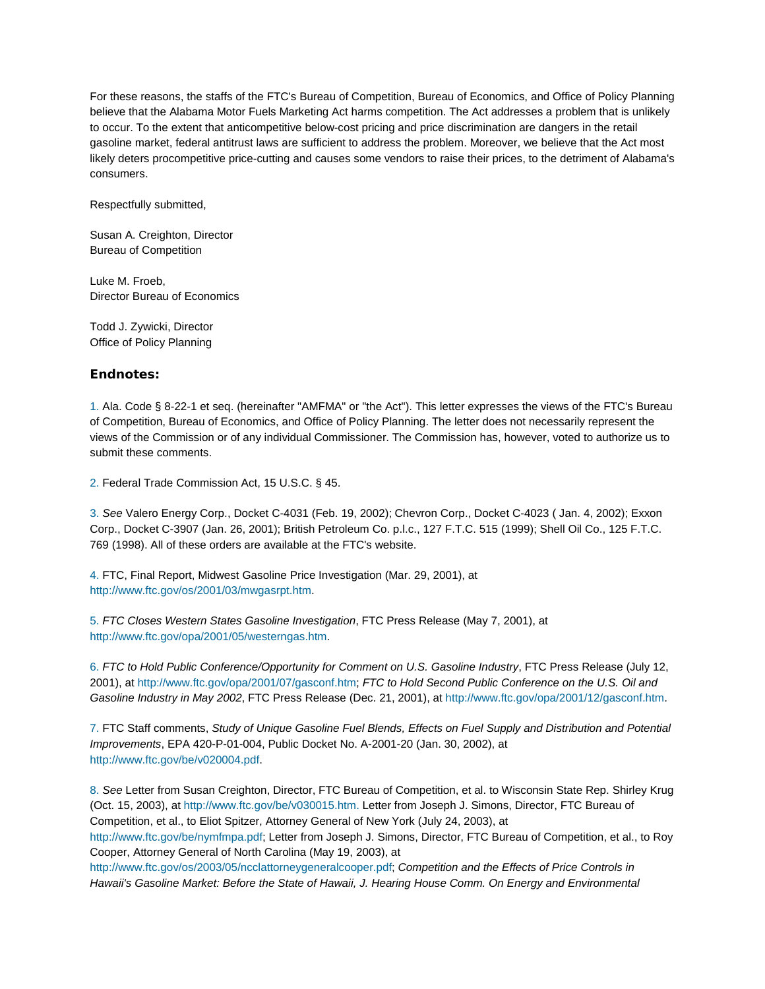For these reasons, the staffs of the FTC's Bureau of Competition, Bureau of Economics, and Office of Policy Planning believe that the Alabama Motor Fuels Marketing Act harms competition. The Act addresses a problem that is unlikely to occur. To the extent that anticompetitive below-cost pricing and price discrimination are dangers in the retail gasoline market, federal antitrust laws are sufficient to address the problem. Moreover, we believe that the Act most likely deters procompetitive price-cutting and causes some vendors to raise their prices, to the detriment of Alabama's consumers.

Respectfully submitted,

Susan A. Creighton, Director Bureau of Competition

Luke M. Froeb, Director Bureau of Economics

Todd J. Zywicki, Director Office of Policy Planning

### **Endnotes:**

1. Ala. Code § 8-22-1 et seq. (hereinafter "AMFMA" or "the Act"). This letter expresses the views of the FTC's Bureau of Competition, Bureau of Economics, and Office of Policy Planning. The letter does not necessarily represent the views of the Commission or of any individual Commissioner. The Commission has, however, voted to authorize us to submit these comments.

2. Federal Trade Commission Act, 15 U.S.C. § 45.

3. *See* Valero Energy Corp., Docket C-4031 (Feb. 19, 2002); Chevron Corp., Docket C-4023 ( Jan. 4, 2002); Exxon Corp., Docket C-3907 (Jan. 26, 2001); British Petroleum Co. p.l.c., 127 F.T.C. 515 (1999); Shell Oil Co., 125 F.T.C. 769 (1998). All of these orders are available at the FTC's website.

4. FTC, Final Report, Midwest Gasoline Price Investigation (Mar. 29, 2001), at http://www.ftc.gov/os/2001/03/mwgasrpt.htm.

5. *FTC Closes Western States Gasoline Investigation*, FTC Press Release (May 7, 2001), at http://www.ftc.gov/opa/2001/05/westerngas.htm.

6. *FTC to Hold Public Conference/Opportunity for Comment on U.S. Gasoline Industry*, FTC Press Release (July 12, 2001), at http://www.ftc.gov/opa/2001/07/gasconf.htm; *FTC to Hold Second Public Conference on the U.S. Oil and Gasoline Industry in May 2002*, FTC Press Release (Dec. 21, 2001), at http://www.ftc.gov/opa/2001/12/gasconf.htm.

7. FTC Staff comments, *Study of Unique Gasoline Fuel Blends, Effects on Fuel Supply and Distribution and Potential Improvements*, EPA 420-P-01-004, Public Docket No. A-2001-20 (Jan. 30, 2002), at http://www.ftc.gov/be/v020004.pdf.

8. *See* Letter from Susan Creighton, Director, FTC Bureau of Competition, et al. to Wisconsin State Rep. Shirley Krug (Oct. 15, 2003), at http://www.ftc.gov/be/v030015.htm. Letter from Joseph J. Simons, Director, FTC Bureau of Competition, et al., to Eliot Spitzer, Attorney General of New York (July 24, 2003), at http://www.ftc.gov/be/nymfmpa.pdf; Letter from Joseph J. Simons, Director, FTC Bureau of Competition, et al., to Roy Cooper, Attorney General of North Carolina (May 19, 2003), at http://www.ftc.gov/os/2003/05/ncclattorneygeneralcooper.pdf; *Competition and the Effects of Price Controls in* 

*Hawaii's Gasoline Market: Before the State of Hawaii, J. Hearing House Comm. On Energy and Environmental*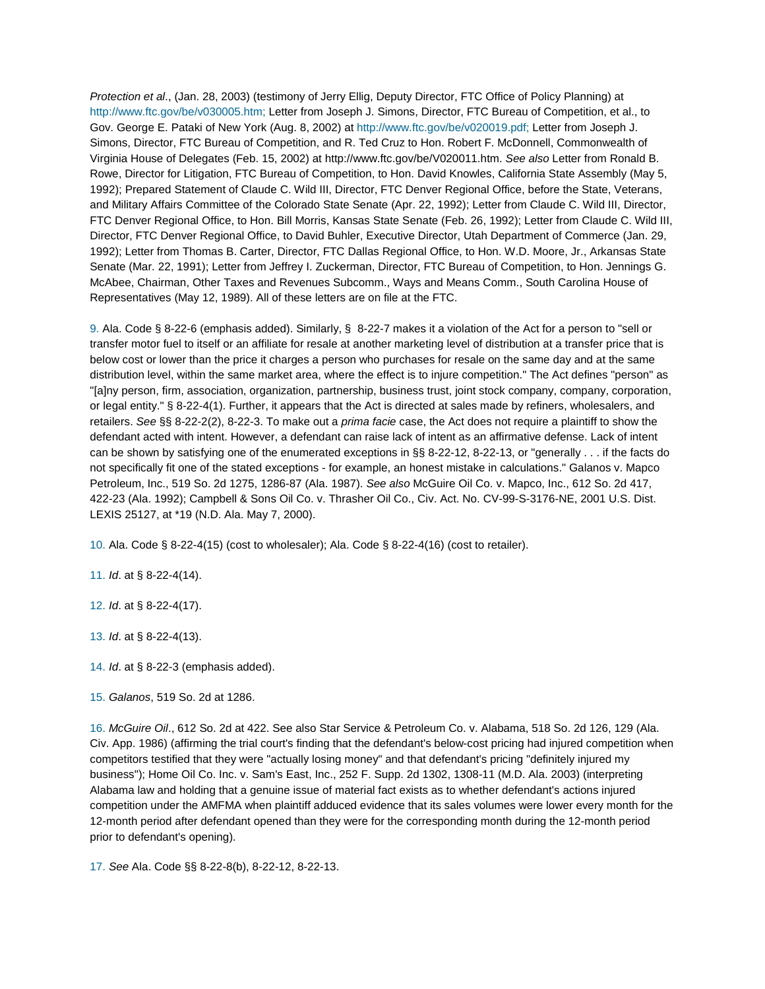*Protection et al*., (Jan. 28, 2003) (testimony of Jerry Ellig, Deputy Director, FTC Office of Policy Planning) at http://www.ftc.gov/be/v030005.htm; Letter from Joseph J. Simons, Director, FTC Bureau of Competition, et al., to Gov. George E. Pataki of New York (Aug. 8, 2002) at http://www.ftc.gov/be/v020019.pdf; Letter from Joseph J. Simons, Director, FTC Bureau of Competition, and R. Ted Cruz to Hon. Robert F. McDonnell, Commonwealth of Virginia House of Delegates (Feb. 15, 2002) at http://www.ftc.gov/be/V020011.htm. *See also* Letter from Ronald B. Rowe, Director for Litigation, FTC Bureau of Competition, to Hon. David Knowles, California State Assembly (May 5, 1992); Prepared Statement of Claude C. Wild III, Director, FTC Denver Regional Office, before the State, Veterans, and Military Affairs Committee of the Colorado State Senate (Apr. 22, 1992); Letter from Claude C. Wild III, Director, FTC Denver Regional Office, to Hon. Bill Morris, Kansas State Senate (Feb. 26, 1992); Letter from Claude C. Wild III, Director, FTC Denver Regional Office, to David Buhler, Executive Director, Utah Department of Commerce (Jan. 29, 1992); Letter from Thomas B. Carter, Director, FTC Dallas Regional Office, to Hon. W.D. Moore, Jr., Arkansas State Senate (Mar. 22, 1991); Letter from Jeffrey I. Zuckerman, Director, FTC Bureau of Competition, to Hon. Jennings G. McAbee, Chairman, Other Taxes and Revenues Subcomm., Ways and Means Comm., South Carolina House of Representatives (May 12, 1989). All of these letters are on file at the FTC.

9. Ala. Code § 8-22-6 (emphasis added). Similarly, § 8-22-7 makes it a violation of the Act for a person to "sell or transfer motor fuel to itself or an affiliate for resale at another marketing level of distribution at a transfer price that is below cost or lower than the price it charges a person who purchases for resale on the same day and at the same distribution level, within the same market area, where the effect is to injure competition." The Act defines "person" as "[a]ny person, firm, association, organization, partnership, business trust, joint stock company, company, corporation, or legal entity." § 8-22-4(1). Further, it appears that the Act is directed at sales made by refiners, wholesalers, and retailers. *See* §§ 8-22-2(2), 8-22-3. To make out a *prima facie* case, the Act does not require a plaintiff to show the defendant acted with intent. However, a defendant can raise lack of intent as an affirmative defense. Lack of intent can be shown by satisfying one of the enumerated exceptions in §§ 8-22-12, 8-22-13, or "generally . . . if the facts do not specifically fit one of the stated exceptions - for example, an honest mistake in calculations." Galanos v. Mapco Petroleum, Inc., 519 So. 2d 1275, 1286-87 (Ala. 1987). *See also* McGuire Oil Co. v. Mapco, Inc., 612 So. 2d 417, 422-23 (Ala. 1992); Campbell & Sons Oil Co. v. Thrasher Oil Co., Civ. Act. No. CV-99-S-3176-NE, 2001 U.S. Dist. LEXIS 25127, at \*19 (N.D. Ala. May 7, 2000).

10. Ala. Code § 8-22-4(15) (cost to wholesaler); Ala. Code § 8-22-4(16) (cost to retailer).

11. *Id*. at § 8-22-4(14).

12. *Id*. at § 8-22-4(17).

13. *Id*. at § 8-22-4(13).

14. *Id*. at § 8-22-3 (emphasis added).

16. *McGuire Oil*., 612 So. 2d at 422. See also Star Service & Petroleum Co. v. Alabama, 518 So. 2d 126, 129 (Ala. Civ. App. 1986) (affirming the trial court's finding that the defendant's below-cost pricing had injured competition when competitors testified that they were "actually losing money" and that defendant's pricing "definitely injured my business"); Home Oil Co. Inc. v. Sam's East, Inc., 252 F. Supp. 2d 1302, 1308-11 (M.D. Ala. 2003) (interpreting Alabama law and holding that a genuine issue of material fact exists as to whether defendant's actions injured competition under the AMFMA when plaintiff adduced evidence that its sales volumes were lower every month for the 12-month period after defendant opened than they were for the corresponding month during the 12-month period prior to defendant's opening).

17. *See* Ala. Code §§ 8-22-8(b), 8-22-12, 8-22-13.

<sup>15.</sup> *Galanos*, 519 So. 2d at 1286.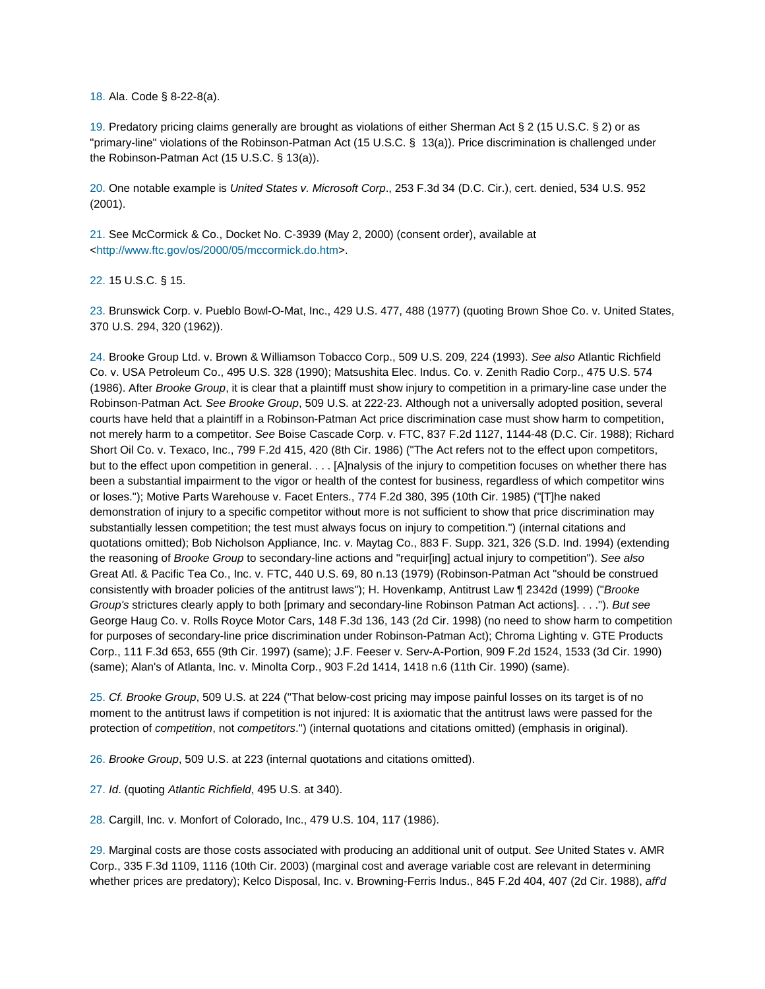18. Ala. Code § 8-22-8(a).

19. Predatory pricing claims generally are brought as violations of either Sherman Act § 2 (15 U.S.C. § 2) or as "primary-line" violations of the Robinson-Patman Act (15 U.S.C. § 13(a)). Price discrimination is challenged under the Robinson-Patman Act (15 U.S.C. § 13(a)).

20. One notable example is *United States v. Microsoft Corp*., 253 F.3d 34 (D.C. Cir.), cert. denied, 534 U.S. 952 (2001).

21. See McCormick & Co., Docket No. C-3939 (May 2, 2000) (consent order), available at <http://www.ftc.gov/os/2000/05/mccormick.do.htm>.

22. 15 U.S.C. § 15.

23. Brunswick Corp. v. Pueblo Bowl-O-Mat, Inc., 429 U.S. 477, 488 (1977) (quoting Brown Shoe Co. v. United States, 370 U.S. 294, 320 (1962)).

24. Brooke Group Ltd. v. Brown & Williamson Tobacco Corp., 509 U.S. 209, 224 (1993). *See also* Atlantic Richfield Co. v. USA Petroleum Co., 495 U.S. 328 (1990); Matsushita Elec. Indus. Co. v. Zenith Radio Corp., 475 U.S. 574 (1986). After *Brooke Group*, it is clear that a plaintiff must show injury to competition in a primary-line case under the Robinson-Patman Act. *See Brooke Group*, 509 U.S. at 222-23. Although not a universally adopted position, several courts have held that a plaintiff in a Robinson-Patman Act price discrimination case must show harm to competition, not merely harm to a competitor. *See* Boise Cascade Corp. v. FTC, 837 F.2d 1127, 1144-48 (D.C. Cir. 1988); Richard Short Oil Co. v. Texaco, Inc., 799 F.2d 415, 420 (8th Cir. 1986) ("The Act refers not to the effect upon competitors, but to the effect upon competition in general. . . . [A]nalysis of the injury to competition focuses on whether there has been a substantial impairment to the vigor or health of the contest for business, regardless of which competitor wins or loses."); Motive Parts Warehouse v. Facet Enters., 774 F.2d 380, 395 (10th Cir. 1985) ("[T]he naked demonstration of injury to a specific competitor without more is not sufficient to show that price discrimination may substantially lessen competition; the test must always focus on injury to competition.") (internal citations and quotations omitted); Bob Nicholson Appliance, Inc. v. Maytag Co., 883 F. Supp. 321, 326 (S.D. Ind. 1994) (extending the reasoning of *Brooke Group* to secondary-line actions and "requir[ing] actual injury to competition"). *See also* Great Atl. & Pacific Tea Co., Inc. v. FTC, 440 U.S. 69, 80 n.13 (1979) (Robinson-Patman Act "should be construed consistently with broader policies of the antitrust laws"); H. Hovenkamp, Antitrust Law ¶ 2342d (1999) ("*Brooke Group's* strictures clearly apply to both [primary and secondary-line Robinson Patman Act actions]. . . ."). *But see* George Haug Co. v. Rolls Royce Motor Cars, 148 F.3d 136, 143 (2d Cir. 1998) (no need to show harm to competition for purposes of secondary-line price discrimination under Robinson-Patman Act); Chroma Lighting v. GTE Products Corp., 111 F.3d 653, 655 (9th Cir. 1997) (same); J.F. Feeser v. Serv-A-Portion, 909 F.2d 1524, 1533 (3d Cir. 1990) (same); Alan's of Atlanta, Inc. v. Minolta Corp., 903 F.2d 1414, 1418 n.6 (11th Cir. 1990) (same).

25. *Cf. Brooke Group*, 509 U.S. at 224 ("That below-cost pricing may impose painful losses on its target is of no moment to the antitrust laws if competition is not injured: It is axiomatic that the antitrust laws were passed for the protection of *competition*, not *competitors*.") (internal quotations and citations omitted) (emphasis in original).

26. *Brooke Group*, 509 U.S. at 223 (internal quotations and citations omitted).

27. *Id*. (quoting *Atlantic Richfield*, 495 U.S. at 340).

28. Cargill, Inc. v. Monfort of Colorado, Inc., 479 U.S. 104, 117 (1986).

29. Marginal costs are those costs associated with producing an additional unit of output. *See* United States v. AMR Corp., 335 F.3d 1109, 1116 (10th Cir. 2003) (marginal cost and average variable cost are relevant in determining whether prices are predatory); Kelco Disposal, Inc. v. Browning-Ferris Indus., 845 F.2d 404, 407 (2d Cir. 1988), *aff'd*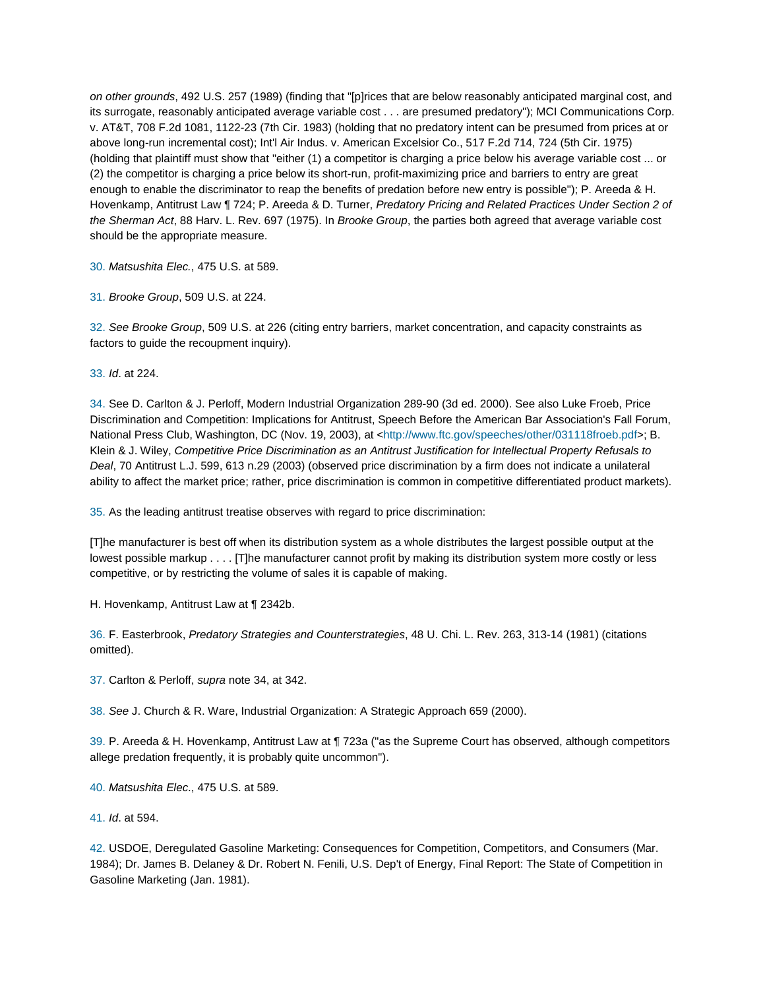*on other grounds*, 492 U.S. 257 (1989) (finding that "[p]rices that are below reasonably anticipated marginal cost, and its surrogate, reasonably anticipated average variable cost . . . are presumed predatory"); MCI Communications Corp. v. AT&T, 708 F.2d 1081, 1122-23 (7th Cir. 1983) (holding that no predatory intent can be presumed from prices at or above long-run incremental cost); Int'l Air Indus. v. American Excelsior Co., 517 F.2d 714, 724 (5th Cir. 1975) (holding that plaintiff must show that "either (1) a competitor is charging a price below his average variable cost ... or (2) the competitor is charging a price below its short-run, profit-maximizing price and barriers to entry are great enough to enable the discriminator to reap the benefits of predation before new entry is possible"); P. Areeda & H. Hovenkamp, Antitrust Law ¶ 724; P. Areeda & D. Turner, *Predatory Pricing and Related Practices Under Section 2 of the Sherman Act*, 88 Harv. L. Rev. 697 (1975). In *Brooke Group*, the parties both agreed that average variable cost should be the appropriate measure.

30. *Matsushita Elec.*, 475 U.S. at 589.

31. *Brooke Group*, 509 U.S. at 224.

32. *See Brooke Group*, 509 U.S. at 226 (citing entry barriers, market concentration, and capacity constraints as factors to guide the recoupment inquiry).

33. *Id*. at 224.

34. See D. Carlton & J. Perloff, Modern Industrial Organization 289-90 (3d ed. 2000). See also Luke Froeb, Price Discrimination and Competition: Implications for Antitrust, Speech Before the American Bar Association's Fall Forum, National Press Club, Washington, DC (Nov. 19, 2003), at <http://www.ftc.gov/speeches/other/031118froeb.pdf>; B. Klein & J. Wiley, *Competitive Price Discrimination as an Antitrust Justification for Intellectual Property Refusals to Deal*, 70 Antitrust L.J. 599, 613 n.29 (2003) (observed price discrimination by a firm does not indicate a unilateral ability to affect the market price; rather, price discrimination is common in competitive differentiated product markets).

35. As the leading antitrust treatise observes with regard to price discrimination:

[T]he manufacturer is best off when its distribution system as a whole distributes the largest possible output at the lowest possible markup . . . . [T]he manufacturer cannot profit by making its distribution system more costly or less competitive, or by restricting the volume of sales it is capable of making.

H. Hovenkamp, Antitrust Law at ¶ 2342b.

36. F. Easterbrook, *Predatory Strategies and Counterstrategies*, 48 U. Chi. L. Rev. 263, 313-14 (1981) (citations omitted).

37. Carlton & Perloff, *supra* note 34, at 342.

38. *See* J. Church & R. Ware, Industrial Organization: A Strategic Approach 659 (2000).

39. P. Areeda & H. Hovenkamp, Antitrust Law at ¶ 723a ("as the Supreme Court has observed, although competitors allege predation frequently, it is probably quite uncommon").

40. *Matsushita Elec*., 475 U.S. at 589.

41. *Id*. at 594.

42. USDOE, Deregulated Gasoline Marketing: Consequences for Competition, Competitors, and Consumers (Mar. 1984); Dr. James B. Delaney & Dr. Robert N. Fenili, U.S. Dep't of Energy, Final Report: The State of Competition in Gasoline Marketing (Jan. 1981).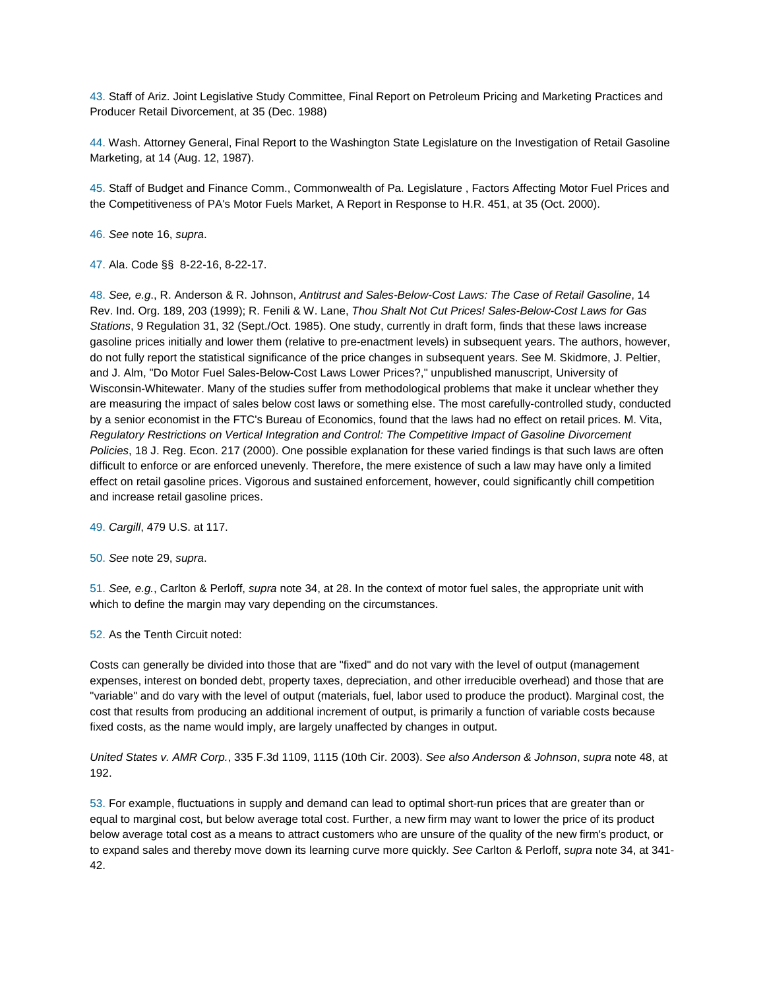43. Staff of Ariz. Joint Legislative Study Committee, Final Report on Petroleum Pricing and Marketing Practices and Producer Retail Divorcement, at 35 (Dec. 1988)

44. Wash. Attorney General, Final Report to the Washington State Legislature on the Investigation of Retail Gasoline Marketing, at 14 (Aug. 12, 1987).

45. Staff of Budget and Finance Comm., Commonwealth of Pa. Legislature , Factors Affecting Motor Fuel Prices and the Competitiveness of PA's Motor Fuels Market, A Report in Response to H.R. 451, at 35 (Oct. 2000).

46. *See* note 16, *supra*.

47. Ala. Code §§ 8-22-16, 8-22-17.

48. *See, e.g*., R. Anderson & R. Johnson, *Antitrust and Sales-Below-Cost Laws: The Case of Retail Gasoline*, 14 Rev. Ind. Org. 189, 203 (1999); R. Fenili & W. Lane, *Thou Shalt Not Cut Prices! Sales-Below-Cost Laws for Gas Stations*, 9 Regulation 31, 32 (Sept./Oct. 1985). One study, currently in draft form, finds that these laws increase gasoline prices initially and lower them (relative to pre-enactment levels) in subsequent years. The authors, however, do not fully report the statistical significance of the price changes in subsequent years. See M. Skidmore, J. Peltier, and J. Alm, "Do Motor Fuel Sales-Below-Cost Laws Lower Prices?," unpublished manuscript, University of Wisconsin-Whitewater. Many of the studies suffer from methodological problems that make it unclear whether they are measuring the impact of sales below cost laws or something else. The most carefully-controlled study, conducted by a senior economist in the FTC's Bureau of Economics, found that the laws had no effect on retail prices. M. Vita, *Regulatory Restrictions on Vertical Integration and Control: The Competitive Impact of Gasoline Divorcement Policies*, 18 J. Reg. Econ. 217 (2000). One possible explanation for these varied findings is that such laws are often difficult to enforce or are enforced unevenly. Therefore, the mere existence of such a law may have only a limited effect on retail gasoline prices. Vigorous and sustained enforcement, however, could significantly chill competition and increase retail gasoline prices.

49. *Cargill*, 479 U.S. at 117.

50. *See* note 29, *supra*.

51. *See, e.g.*, Carlton & Perloff, *supra* note 34, at 28. In the context of motor fuel sales, the appropriate unit with which to define the margin may vary depending on the circumstances.

52. As the Tenth Circuit noted:

Costs can generally be divided into those that are "fixed" and do not vary with the level of output (management expenses, interest on bonded debt, property taxes, depreciation, and other irreducible overhead) and those that are "variable" and do vary with the level of output (materials, fuel, labor used to produce the product). Marginal cost, the cost that results from producing an additional increment of output, is primarily a function of variable costs because fixed costs, as the name would imply, are largely unaffected by changes in output.

*United States v. AMR Corp.*, 335 F.3d 1109, 1115 (10th Cir. 2003). *See also Anderson & Johnson*, *supra* note 48, at 192.

53. For example, fluctuations in supply and demand can lead to optimal short-run prices that are greater than or equal to marginal cost, but below average total cost. Further, a new firm may want to lower the price of its product below average total cost as a means to attract customers who are unsure of the quality of the new firm's product, or to expand sales and thereby move down its learning curve more quickly. *See* Carlton & Perloff, *supra* note 34, at 341- 42.